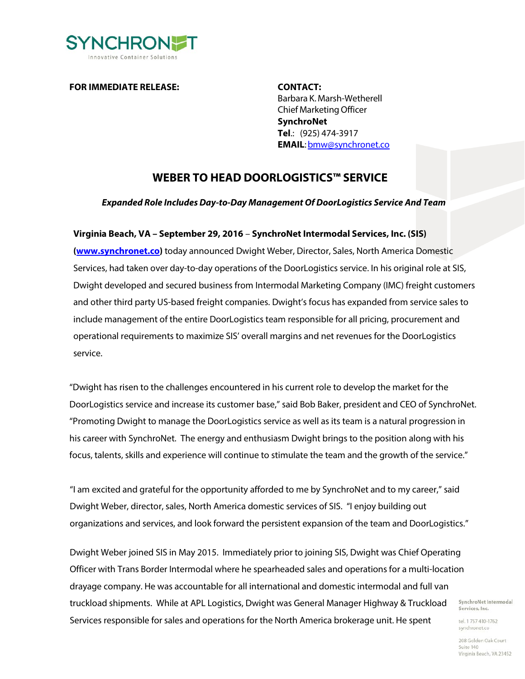

**FOR IMMEDIATE RELEASE: CONTACT:**

Barbara K. Marsh-Wetherell Chief MarketingOfficer **SynchroNet Tel**.: (925) 474-3917 **EMAIL**[:bmw@synchronet.co](mailto:bmw@synchronet.co)

## **WEBER TO HEAD DOORLOGISTICS™ SERVICE**

*Expanded Role Includes Day-to-Day Management Of DoorLogistics Service And Team*

## **Virginia Beach, VA – September 29, 2016** – **SynchroNet Intermodal Services, Inc. (SIS)**

**[\(www.synchronet.co\)](http://www.synchronet.co/)** today announced Dwight Weber, Director, Sales, North America Domestic Services, had taken over day-to-day operations of the DoorLogistics service. In his original role at SIS, Dwight developed and secured business from Intermodal Marketing Company (IMC) freight customers and other third party US-based freight companies. Dwight's focus has expanded from service sales to include management of the entire DoorLogistics team responsible for all pricing, procurement and operational requirements to maximize SIS' overall margins and net revenues for the DoorLogistics service.

"Dwight has risen to the challenges encountered in his current role to develop the market for the DoorLogistics service and increase its customer base," said Bob Baker, president and CEO of SynchroNet. "Promoting Dwight to manage the DoorLogistics service as well as its team is a natural progression in his career with SynchroNet. The energy and enthusiasm Dwight brings to the position along with his focus, talents, skills and experience will continue to stimulate the team and the growth of the service."

"I am excited and grateful for the opportunity afforded to me by SynchroNet and to my career," said Dwight Weber, director, sales, North America domestic services of SIS. "I enjoy building out organizations and services, and look forward the persistent expansion of the team and DoorLogistics."

Dwight Weber joined SIS in May 2015. Immediately prior to joining SIS, Dwight was Chief Operating Officer with Trans Border Intermodal where he spearheaded sales and operations for a multi-location drayage company. He was accountable for all international and domestic intermodal and full van truckload shipments. While at APL Logistics, Dwight was General Manager Highway & Truckload Services responsible for sales and operations for the North America brokerage unit. He spent

SynchroNet Intermodal Services, Inc.

tel. 1 757 410-1762 synchronet.co

208 Golden Oak Court Suite 140 Virginia Beach, VA 23452